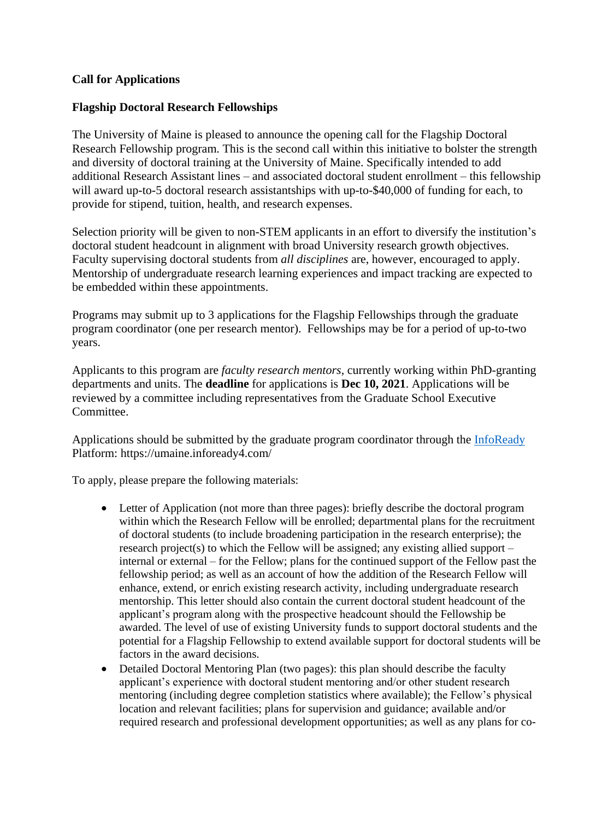## **Call for Applications**

## **Flagship Doctoral Research Fellowships**

The University of Maine is pleased to announce the opening call for the Flagship Doctoral Research Fellowship program. This is the second call within this initiative to bolster the strength and diversity of doctoral training at the University of Maine. Specifically intended to add additional Research Assistant lines – and associated doctoral student enrollment – this fellowship will award up-to-5 doctoral research assistantships with up-to-\$40,000 of funding for each, to provide for stipend, tuition, health, and research expenses.

Selection priority will be given to non-STEM applicants in an effort to diversify the institution's doctoral student headcount in alignment with broad University research growth objectives. Faculty supervising doctoral students from *all disciplines* are, however, encouraged to apply. Mentorship of undergraduate research learning experiences and impact tracking are expected to be embedded within these appointments.

Programs may submit up to 3 applications for the Flagship Fellowships through the graduate program coordinator (one per research mentor). Fellowships may be for a period of up-to-two years.

Applicants to this program are *faculty research mentors*, currently working within PhD-granting departments and units. The **deadline** for applications is **Dec 10, 2021**. Applications will be reviewed by a committee including representatives from the Graduate School Executive Committee.

Applications should be submitted by the graduate program coordinator through the [InfoReady](https://umaine.infoready4.com/) Platform: https://umaine.infoready4.com/

To apply, please prepare the following materials:

- Letter of Application (not more than three pages): briefly describe the doctoral program within which the Research Fellow will be enrolled; departmental plans for the recruitment of doctoral students (to include broadening participation in the research enterprise); the research project(s) to which the Fellow will be assigned; any existing allied support – internal or external – for the Fellow; plans for the continued support of the Fellow past the fellowship period; as well as an account of how the addition of the Research Fellow will enhance, extend, or enrich existing research activity, including undergraduate research mentorship. This letter should also contain the current doctoral student headcount of the applicant's program along with the prospective headcount should the Fellowship be awarded. The level of use of existing University funds to support doctoral students and the potential for a Flagship Fellowship to extend available support for doctoral students will be factors in the award decisions.
- Detailed Doctoral Mentoring Plan (two pages): this plan should describe the faculty applicant's experience with doctoral student mentoring and/or other student research mentoring (including degree completion statistics where available); the Fellow's physical location and relevant facilities; plans for supervision and guidance; available and/or required research and professional development opportunities; as well as any plans for co-